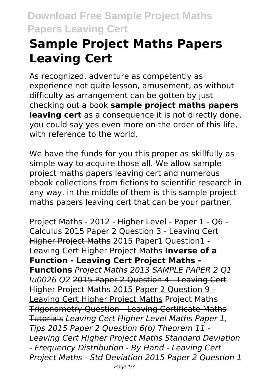# **Sample Project Maths Papers Leaving Cert**

As recognized, adventure as competently as experience not quite lesson, amusement, as without difficulty as arrangement can be gotten by just checking out a book **sample project maths papers leaving cert** as a consequence it is not directly done, you could say yes even more on the order of this life, with reference to the world.

We have the funds for you this proper as skillfully as simple way to acquire those all. We allow sample project maths papers leaving cert and numerous ebook collections from fictions to scientific research in any way. in the middle of them is this sample project maths papers leaving cert that can be your partner.

Project Maths - 2012 - Higher Level - Paper 1 - Q6 - Calculus 2015 Paper 2 Question 3 - Leaving Cert Higher Project Maths 2015 Paper1 Question1 - Leaving Cert Higher Project Maths **Inverse of a Function - Leaving Cert Project Maths - Functions** *Project Maths 2013 SAMPLE PAPER 2 Q1 \u0026 Q2* 2015 Paper 2 Question 4 - Leaving Cert Higher Project Maths 2015 Paper 2 Question 9 - Leaving Cert Higher Project Maths Project Maths Trigonometry Question - Leaving Certificate Maths Tutorials *Leaving Cert Higher Level Maths Paper 1, Tips 2015 Paper 2 Question 6(b) Theorem 11 - Leaving Cert Higher Project Maths Standard Deviation - Frequency Distribution - By Hand - Leaving Cert Project Maths - Std Deviation 2015 Paper 2 Question 1*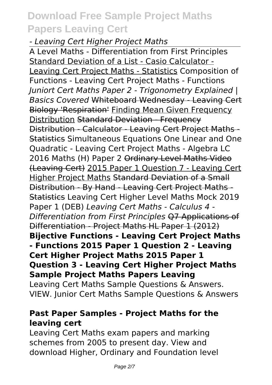#### *- Leaving Cert Higher Project Maths*

A Level Maths - Differentiation from First Principles Standard Deviation of a List - Casio Calculator - Leaving Cert Project Maths - Statistics Composition of Functions - Leaving Cert Project Maths - Functions *Juniort Cert Maths Paper 2 - Trigonometry Explained | Basics Covered* Whiteboard Wednesday - Leaving Cert Biology 'Respiration' Finding Mean Given Frequency Distribution Standard Deviation - Frequency Distribution - Calculator - Leaving Cert Project Maths - **Statistics Simultaneous Equations One Linear and One** Quadratic - Leaving Cert Project Maths - Algebra LC 2016 Maths (H) Paper 2 Ordinary Level Maths Video (Leaving Cert) 2015 Paper 1 Question 7 - Leaving Cert Higher Project Maths Standard Deviation of a Small Distribution - By Hand - Leaving Cert Project Maths - Statistics Leaving Cert Higher Level Maths Mock 2019 Paper 1 (DEB) *Leaving Cert Maths - Calculus 4 - Differentiation from First Principles* Q7 Applications of Differentiation - Project Maths HL Paper 1 (2012) **Bijective Functions - Leaving Cert Project Maths - Functions 2015 Paper 1 Question 2 - Leaving Cert Higher Project Maths 2015 Paper 1 Question 3 - Leaving Cert Higher Project Maths Sample Project Maths Papers Leaving** Leaving Cert Maths Sample Questions & Answers.

VIEW. Junior Cert Maths Sample Questions & Answers

#### **Past Paper Samples - Project Maths for the leaving cert**

Leaving Cert Maths exam papers and marking schemes from 2005 to present day. View and download Higher, Ordinary and Foundation level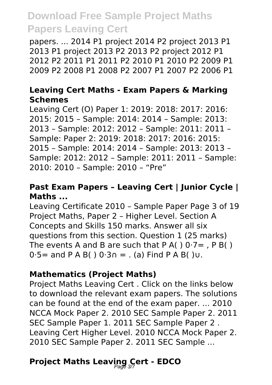papers. ... 2014 P1 project 2014 P2 project 2013 P1 2013 P1 project 2013 P2 2013 P2 project 2012 P1 2012 P2 2011 P1 2011 P2 2010 P1 2010 P2 2009 P1 2009 P2 2008 P1 2008 P2 2007 P1 2007 P2 2006 P1

#### **Leaving Cert Maths - Exam Papers & Marking Schemes**

Leaving Cert (O) Paper 1: 2019: 2018: 2017: 2016: 2015: 2015 – Sample: 2014: 2014 – Sample: 2013: 2013 – Sample: 2012: 2012 – Sample: 2011: 2011 – Sample: Paper 2: 2019: 2018: 2017: 2016: 2015: 2015 – Sample: 2014: 2014 – Sample: 2013: 2013 – Sample: 2012: 2012 – Sample: 2011: 2011 – Sample: 2010: 2010 – Sample: 2010 – "Pre"

#### **Past Exam Papers – Leaving Cert | Junior Cycle | Maths ...**

Leaving Certificate 2010 – Sample Paper Page 3 of 19 Project Maths, Paper 2 – Higher Level. Section A Concepts and Skills 150 marks. Answer all six questions from this section. Question 1 (25 marks) The events A and B are such that P A(  $)$  0 $7 =$  , P B(  $)$  $0.5=$  and P A B( )  $0.3$ ∩ = . (a) Find P A B( )∪.

#### **Mathematics (Project Maths)**

Project Maths Leaving Cert . Click on the links below to download the relevant exam papers. The solutions can be found at the end of the exam paper. ... 2010 NCCA Mock Paper 2. 2010 SEC Sample Paper 2. 2011 SEC Sample Paper 1. 2011 SEC Sample Paper 2 . Leaving Cert Higher Level. 2010 NCCA Mock Paper 2. 2010 SEC Sample Paper 2. 2011 SEC Sample ...

# **Project Maths Leaving Cert - EDCO**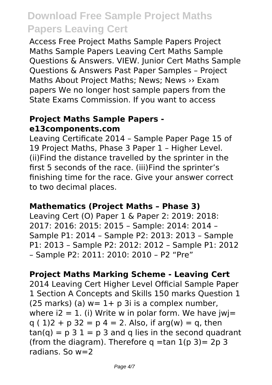Access Free Project Maths Sample Papers Project Maths Sample Papers Leaving Cert Maths Sample Questions & Answers. VIEW. Junior Cert Maths Sample Questions & Answers Past Paper Samples – Project Maths About Project Maths; News; News >> Exam papers We no longer host sample papers from the State Exams Commission. If you want to access

#### **Project Maths Sample Papers e13components.com**

Leaving Certificate 2014 – Sample Paper Page 15 of 19 Project Maths, Phase 3 Paper 1 – Higher Level. (ii)Find the distance travelled by the sprinter in the first 5 seconds of the race. (iii)Find the sprinter's finishing time for the race. Give your answer correct to two decimal places.

#### **Mathematics (Project Maths – Phase 3)**

Leaving Cert (O) Paper 1 & Paper 2: 2019: 2018: 2017: 2016: 2015: 2015 – Sample: 2014: 2014 – Sample P1: 2014 – Sample P2: 2013: 2013 – Sample P1: 2013 – Sample P2: 2012: 2012 – Sample P1: 2012 – Sample P2: 2011: 2010: 2010 – P2 "Pre"

#### **Project Maths Marking Scheme - Leaving Cert**

2014 Leaving Cert Higher Level Official Sample Paper 1 Section A Concepts and Skills 150 marks Question 1  $(25$  marks) (a)  $w=1+$  p 3i is a complex number. where  $i2 = 1$ . (i) Write w in polar form. We have iwi=  $q(1)2 + p(32) = p(4) = 2$ . Also, if arg(w) = q, then  $tan(q) = p 3 1 = p 3$  and q lies in the second quadrant (from the diagram). Therefore  $q = tan 1(p 3) = 2p 3$ radians. So w=2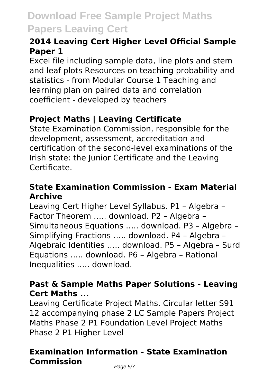### **2014 Leaving Cert Higher Level Official Sample Paper 1**

Excel file including sample data, line plots and stem and leaf plots Resources on teaching probability and statistics - from Modular Course 1 Teaching and learning plan on paired data and correlation coefficient - developed by teachers

### **Project Maths | Leaving Certificate**

State Examination Commission, responsible for the development, assessment, accreditation and certification of the second-level examinations of the Irish state: the Junior Certificate and the Leaving Certificate.

#### **State Examination Commission - Exam Material Archive**

Leaving Cert Higher Level Syllabus. P1 – Algebra – Factor Theorem ….. download. P2 – Algebra – Simultaneous Equations ….. download. P3 – Algebra – Simplifying Fractions ….. download. P4 – Algebra – Algebraic Identities ….. download. P5 – Algebra – Surd Equations ….. download. P6 – Algebra – Rational Inequalities ….. download.

### **Past & Sample Maths Paper Solutions - Leaving Cert Maths ...**

Leaving Certificate Project Maths. Circular letter S91 12 accompanying phase 2 LC Sample Papers Project Maths Phase 2 P1 Foundation Level Project Maths Phase 2 P1 Higher Level

### **Examination Information - State Examination Commission**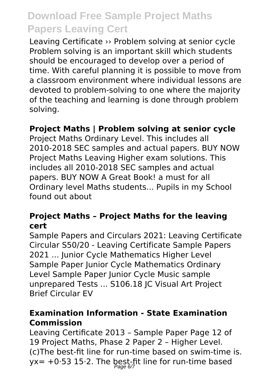Leaving Certificate ›› Problem solving at senior cycle Problem solving is an important skill which students should be encouraged to develop over a period of time. With careful planning it is possible to move from a classroom environment where individual lessons are devoted to problem-solving to one where the majority of the teaching and learning is done through problem solving.

#### **Project Maths | Problem solving at senior cycle**

Project Maths Ordinary Level. This includes all 2010-2018 SEC samples and actual papers. BUY NOW Project Maths Leaving Higher exam solutions. This includes all 2010-2018 SEC samples and actual papers. BUY NOW A Great Book! a must for all Ordinary level Maths students... Pupils in my School found out about

#### **Project Maths – Project Maths for the leaving cert**

Sample Papers and Circulars 2021: Leaving Certificate Circular S50/20 - Leaving Certificate Sample Papers 2021 ... Junior Cycle Mathematics Higher Level Sample Paper Junior Cycle Mathematics Ordinary Level Sample Paper Junior Cycle Music sample unprepared Tests ... S106.18 JC Visual Art Project Brief Circular EV

#### **Examination Information - State Examination Commission**

Leaving Certificate 2013 – Sample Paper Page 12 of 19 Project Maths, Phase 2 Paper 2 – Higher Level. (c)The best-fit line for run-time based on swim-time is. yx= +0·53 15·2. The best-fit line for run-time based